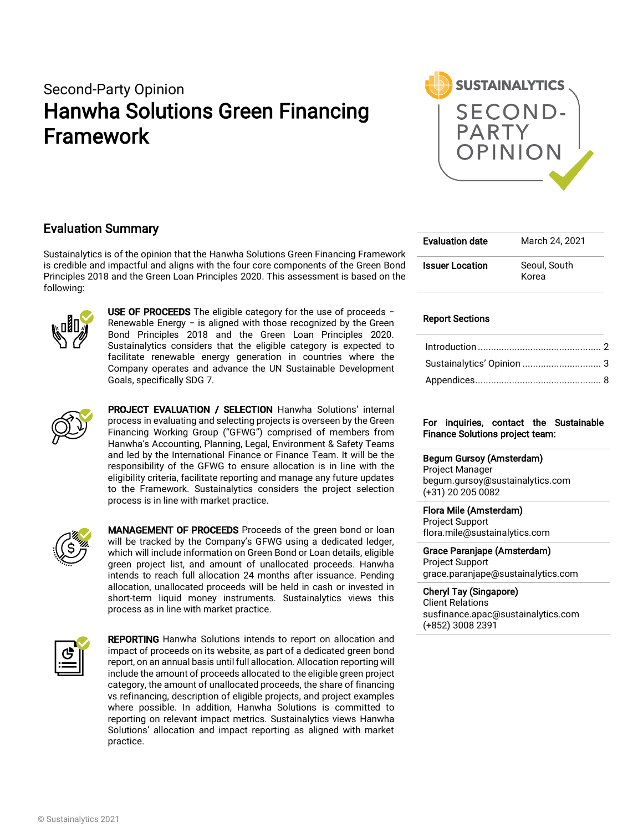# Second-Party Opinion Hanwha Solutions Green Financing Framework



## Evaluation Summary

Sustainalytics is of the opinion that the Hanwha Solutions Green Financing Framework is credible and impactful and aligns with the four core components of the Green Bond Principles 2018 and the Green Loan Principles 2020. This assessment is based on the following:



USE OF PROCEEDS The eligible category for the use of proceeds − Renewable Energy − is aligned with those recognized by the Green Bond Principles 2018 and the Green Loan Principles 2020. Sustainalytics considers that the eligible category is expected to facilitate renewable energy generation in countries where the Company operates and advance the UN Sustainable Development Goals, specifically SDG 7.



PROJECT EVALUATION / SELECTION Hanwha Solutions' internal process in evaluating and selecting projects is overseen by the Green Financing Working Group ("GFWG") comprised of members from Hanwha's Accounting, Planning, Legal, Environment & Safety Teams and led by the International Finance or Finance Team. It will be the responsibility of the GFWG to ensure allocation is in line with the eligibility criteria, facilitate reporting and manage any future updates to the Framework. Sustainalytics considers the project selection process is in line with market practice.



MANAGEMENT OF PROCEEDS Proceeds of the green bond or loan will be tracked by the Company's GFWG using a dedicated ledger, which will include information on Green Bond or Loan details, eligible green project list, and amount of unallocated proceeds. Hanwha intends to reach full allocation 24 months after issuance. Pending allocation, unallocated proceeds will be held in cash or invested in short-term liquid money instruments. Sustainalytics views this process as in line with market practice.



**REPORTING** Hanwha Solutions intends to report on allocation and impact of proceeds on its website, as part of a dedicated green bond report, on an annual basis until full allocation. Allocation reporting will include the amount of proceeds allocated to the eligible green project category, the amount of unallocated proceeds, the share of financing vs refinancing, description of eligible projects, and project examples where possible. In addition, Hanwha Solutions is committed to reporting on relevant impact metrics. Sustainalytics views Hanwha Solutions' allocation and impact reporting as aligned with market practice.

| <b>Evaluation date</b> | March 24, 2021        |
|------------------------|-----------------------|
| <b>Issuer Location</b> | Seoul, South<br>Korea |

#### Report Sections

| Sustainalytics' Opinion  3 |  |
|----------------------------|--|
|                            |  |

#### For inquiries, contact the Sustainable Finance Solutions project team:

#### Begum Gursoy (Amsterdam)

Project Manager begum.gursoy@sustainalytics.com (+31) 20 205 0082

#### Flora Mile (Amsterdam)

Project Support flora.mile@sustainalytics.com

### Grace Paranjape (Amsterdam) Project Support

grace.paranjape@sustainalytics.com

### Cheryl Tay (Singapore)

Client Relations susfinance.apac@sustainalytics.com (+852) 3008 2391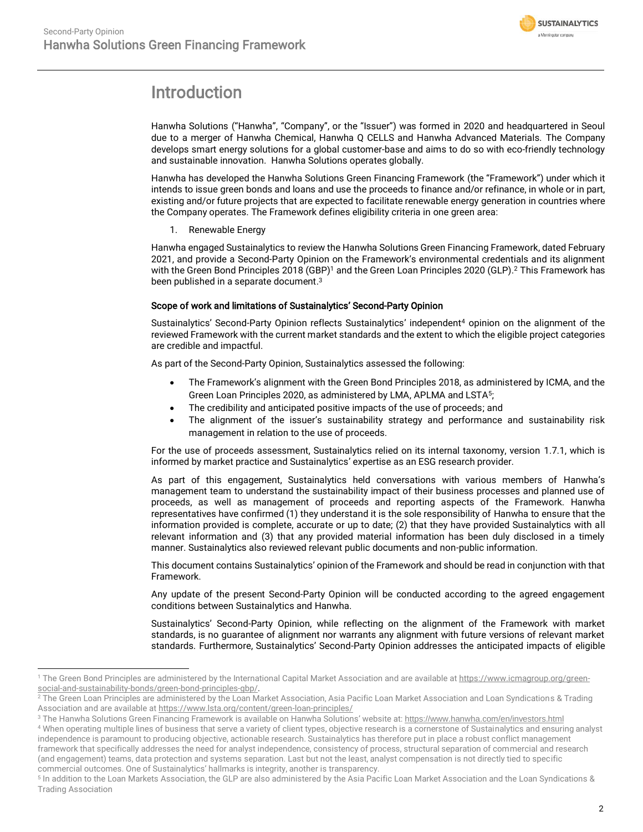

# <span id="page-1-0"></span>Introduction

Hanwha Solutions ("Hanwha", "Company", or the "Issuer") was formed in 2020 and headquartered in Seoul due to a merger of Hanwha Chemical, Hanwha Q CELLS and Hanwha Advanced Materials. The Company develops smart energy solutions for a global customer-base and aims to do so with eco-friendly technology and sustainable innovation. Hanwha Solutions operates globally.

Hanwha has developed the Hanwha Solutions Green Financing Framework (the "Framework") under which it intends to issue green bonds and loans and use the proceeds to finance and/or refinance, in whole or in part, existing and/or future projects that are expected to facilitate renewable energy generation in countries where the Company operates. The Framework defines eligibility criteria in one green area:

1. Renewable Energy

Hanwha engaged Sustainalytics to review the Hanwha Solutions Green Financing Framework, dated February 2021, and provide a Second-Party Opinion on the Framework's environmental credentials and its alignment with the Green Bond Principles 2018 (GBP)<sup>1</sup> and the Green Loan Principles 2020 (GLP).<sup>2</sup> This Framework has been published in a separate document. $^3$ 

#### Scope of work and limitations of Sustainalytics' Second-Party Opinion

Sustainalytics' Second-Party Opinion reflects Sustainalytics' independent<sup>4</sup> opinion on the alignment of the reviewed Framework with the current market standards and the extent to which the eligible project categories are credible and impactful.

As part of the Second-Party Opinion, Sustainalytics assessed the following:

- The Framework's alignment with the Green Bond Principles 2018, as administered by ICMA, and the Green Loan Principles 2020, as administered by LMA, APLMA and LSTA<sup>5</sup>;
- The credibility and anticipated positive impacts of the use of proceeds; and
- The alignment of the issuer's sustainability strategy and performance and sustainability risk management in relation to the use of proceeds.

For the use of proceeds assessment, Sustainalytics relied on its internal taxonomy, version 1.7.1, which is informed by market practice and Sustainalytics' expertise as an ESG research provider.

As part of this engagement, Sustainalytics held conversations with various members of Hanwha's management team to understand the sustainability impact of their business processes and planned use of proceeds, as well as management of proceeds and reporting aspects of the Framework. Hanwha representatives have confirmed (1) they understand it is the sole responsibility of Hanwha to ensure that the information provided is complete, accurate or up to date; (2) that they have provided Sustainalytics with all relevant information and (3) that any provided material information has been duly disclosed in a timely manner. Sustainalytics also reviewed relevant public documents and non-public information.

This document contains Sustainalytics' opinion of the Framework and should be read in conjunction with that Framework.

Any update of the present Second-Party Opinion will be conducted according to the agreed engagement conditions between Sustainalytics and Hanwha.

Sustainalytics' Second-Party Opinion, while reflecting on the alignment of the Framework with market standards, is no guarantee of alignment nor warrants any alignment with future versions of relevant market standards. Furthermore, Sustainalytics' Second-Party Opinion addresses the anticipated impacts of eligible

<sup>&</sup>lt;sup>1</sup> The Green Bond Principles are administered by the International Capital Market Association and are available a[t https://www.icmagroup.org/green](https://www.icmagroup.org/green-social-and-sustainability-bonds/green-bond-principles-gbp/)[social-and-sustainability-bonds/green-bond-principles-gbp/.](https://www.icmagroup.org/green-social-and-sustainability-bonds/green-bond-principles-gbp/)

<sup>&</sup>lt;sup>2</sup> The Green Loan Principles are administered by the Loan Market Association, Asia Pacific Loan Market Association and Loan Syndications & Trading Association and are available a[t https://www.lsta.org/content/green-loan-principles/](https://www.lsta.org/content/green-loan-principles/)

<sup>3</sup> The Hanwha Solutions Green Financing Framework is available on Hanwha Solutions' website at: <https://www.hanwha.com/en/investors.html>

<sup>4</sup> When operating multiple lines of business that serve a variety of client types, objective research is a cornerstone of Sustainalytics and ensuring analyst independence is paramount to producing objective, actionable research. Sustainalytics has therefore put in place a robust conflict management framework that specifically addresses the need for analyst independence, consistency of process, structural separation of commercial and research (and engagement) teams, data protection and systems separation. Last but not the least, analyst compensation is not directly tied to specific commercial outcomes. One of Sustainalytics' hallmarks is integrity, another is transparency.

<sup>5</sup> In addition to the Loan Markets Association, the GLP are also administered by the Asia Pacific Loan Market Association and the Loan Syndications & Trading Association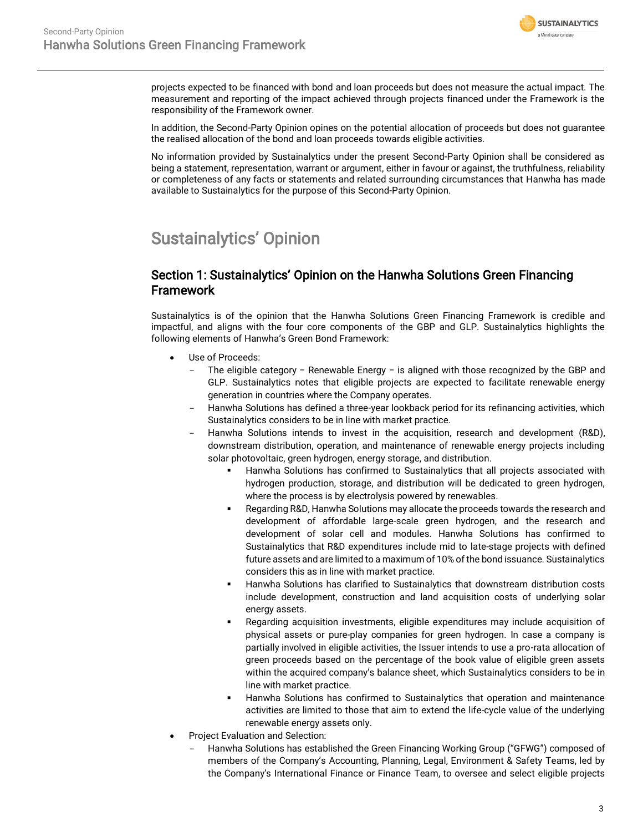

projects expected to be financed with bond and loan proceeds but does not measure the actual impact. The measurement and reporting of the impact achieved through projects financed under the Framework is the responsibility of the Framework owner.

In addition, the Second-Party Opinion opines on the potential allocation of proceeds but does not guarantee the realised allocation of the bond and loan proceeds towards eligible activities.

No information provided by Sustainalytics under the present Second-Party Opinion shall be considered as being a statement, representation, warrant or argument, either in favour or against, the truthfulness, reliability or completeness of any facts or statements and related surrounding circumstances that Hanwha has made available to Sustainalytics for the purpose of this Second-Party Opinion.

# <span id="page-2-0"></span>Sustainalytics' Opinion

## Section 1: Sustainalytics' Opinion on the Hanwha Solutions Green Financing **Framework**

Sustainalytics is of the opinion that the Hanwha Solutions Green Financing Framework is credible and impactful, and aligns with the four core components of the GBP and GLP. Sustainalytics highlights the following elements of Hanwha's Green Bond Framework:

- Use of Proceeds:
	- The eligible category − Renewable Energy − is aligned with those recognized by the GBP and GLP. Sustainalytics notes that eligible projects are expected to facilitate renewable energy generation in countries where the Company operates.
	- Hanwha Solutions has defined a three-year lookback period for its refinancing activities, which Sustainalytics considers to be in line with market practice.
	- Hanwha Solutions intends to invest in the acquisition, research and development (R&D), downstream distribution, operation, and maintenance of renewable energy projects including solar photovoltaic, green hydrogen, energy storage, and distribution.
		- Hanwha Solutions has confirmed to Sustainalytics that all projects associated with hydrogen production, storage, and distribution will be dedicated to green hydrogen, where the process is by electrolysis powered by renewables.
		- Regarding R&D, Hanwha Solutions may allocate the proceeds towards the research and development of affordable large-scale green hydrogen, and the research and development of solar cell and modules. Hanwha Solutions has confirmed to Sustainalytics that R&D expenditures include mid to late-stage projects with defined future assets and are limited to a maximum of 10% of the bond issuance. Sustainalytics considers this as in line with market practice.
		- Hanwha Solutions has clarified to Sustainalytics that downstream distribution costs include development, construction and land acquisition costs of underlying solar energy assets.
		- Regarding acquisition investments, eligible expenditures may include acquisition of physical assets or pure-play companies for green hydrogen. In case a company is partially involved in eligible activities, the Issuer intends to use a pro-rata allocation of green proceeds based on the percentage of the book value of eligible green assets within the acquired company's balance sheet, which Sustainalytics considers to be in line with market practice.
		- Hanwha Solutions has confirmed to Sustainalytics that operation and maintenance activities are limited to those that aim to extend the life-cycle value of the underlying renewable energy assets only.
- Project Evaluation and Selection:
	- Hanwha Solutions has established the Green Financing Working Group ("GFWG") composed of members of the Company's Accounting, Planning, Legal, Environment & Safety Teams, led by the Company's International Finance or Finance Team, to oversee and select eligible projects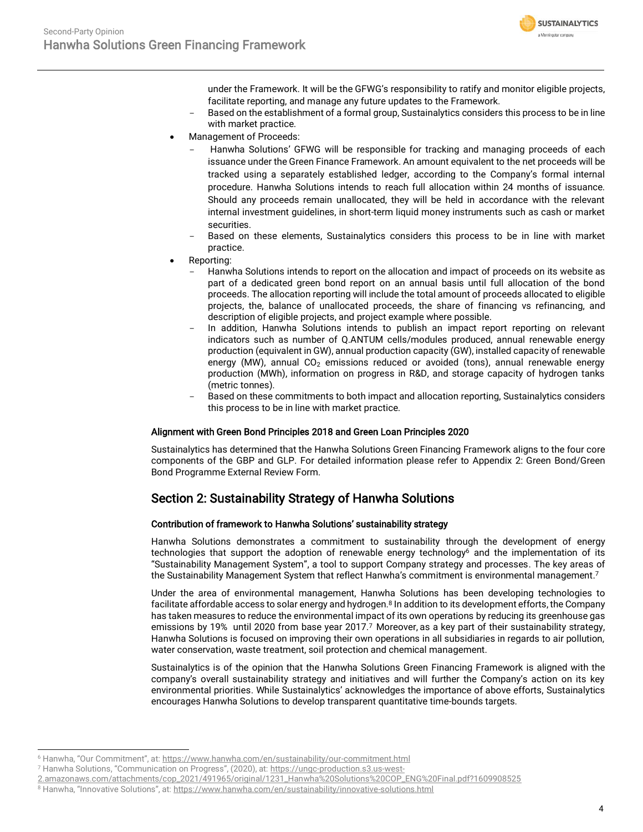

under the Framework. It will be the GFWG's responsibility to ratify and monitor eligible projects, facilitate reporting, and manage any future updates to the Framework.

- Based on the establishment of a formal group, Sustainalytics considers this process to be in line with market practice.
- Management of Proceeds:
	- Hanwha Solutions' GFWG will be responsible for tracking and managing proceeds of each issuance under the Green Finance Framework. An amount equivalent to the net proceeds will be tracked using a separately established ledger, according to the Company's formal internal procedure. Hanwha Solutions intends to reach full allocation within 24 months of issuance. Should any proceeds remain unallocated, they will be held in accordance with the relevant internal investment guidelines, in short-term liquid money instruments such as cash or market securities.
	- Based on these elements, Sustainalytics considers this process to be in line with market practice.
- Reporting:
	- Hanwha Solutions intends to report on the allocation and impact of proceeds on its website as part of a dedicated green bond report on an annual basis until full allocation of the bond proceeds. The allocation reporting will include the total amount of proceeds allocated to eligible projects, the, balance of unallocated proceeds, the share of financing vs refinancing, and description of eligible projects, and project example where possible.
	- In addition, Hanwha Solutions intends to publish an impact report reporting on relevant indicators such as number of Q.ANTUM cells/modules produced, annual renewable energy production (equivalent in GW), annual production capacity (GW), installed capacity of renewable energy (MW), annual  $CO<sub>2</sub>$  emissions reduced or avoided (tons), annual renewable energy production (MWh), information on progress in R&D, and storage capacity of hydrogen tanks (metric tonnes).
	- Based on these commitments to both impact and allocation reporting, Sustainalytics considers this process to be in line with market practice.

#### Alignment with Green Bond Principles 2018 and Green Loan Principles 2020

Sustainalytics has determined that the Hanwha Solutions Green Financing Framework aligns to the four core components of the GBP and GLP. For detailed information please refer to Appendix 2: Green Bond/Green Bond Programme External Review Form.

# Section 2: Sustainability Strategy of Hanwha Solutions

#### Contribution of framework to Hanwha Solutions' sustainability strategy

<span id="page-3-1"></span>Hanwha Solutions demonstrates a commitment to sustainability through the development of energy technologies that support the adoption of renewable energy technology<sup>6</sup> and the implementation of its "Sustainability Management System", a tool to support Company strategy and processes. The key areas of the Sustainability Management System that reflect Hanwha's commitment is environmental management. 7

<span id="page-3-0"></span>Under the area of environmental management, Hanwha Solutions has been developing technologies to facilitate affordable access to solar energy and hydrogen.<sup>8</sup> In addition to its development efforts, the Company has taken measures to reduce the environmental impact of its own operations by reducing its greenhouse gas emissions by 19% until 2020 from base year 201[7](#page-3-0).<sup>7</sup> Moreover, as a key part of their sustainability strategy, Hanwha Solutions is focused on improving their own operations in all subsidiaries in regards to air pollution, water conservation, waste treatment, soil protection and chemical management.

Sustainalytics is of the opinion that the Hanwha Solutions Green Financing Framework is aligned with the company's overall sustainability strategy and initiatives and will further the Company's action on its key environmental priorities. While Sustainalytics' acknowledges the importance of above efforts, Sustainalytics encourages Hanwha Solutions to develop transparent quantitative time-bounds targets.

<sup>6</sup> Hanwha, "Our Commitment", at: <https://www.hanwha.com/en/sustainability/our-commitment.html>

<sup>7</sup> Hanwha Solutions, "Communication on Progress", (2020), at: [https://ungc-production.s3.us-west-](https://ungc-production.s3.us-west-2.amazonaws.com/attachments/cop_2021/491965/original/1231_Hanwha%20Solutions%20COP_ENG%20Final.pdf?1609908525)

[<sup>2.</sup>amazonaws.com/attachments/cop\\_2021/491965/original/1231\\_Hanwha%20Solutions%20COP\\_ENG%20Final.pdf?1609908525](https://ungc-production.s3.us-west-2.amazonaws.com/attachments/cop_2021/491965/original/1231_Hanwha%20Solutions%20COP_ENG%20Final.pdf?1609908525)

<sup>8</sup> Hanwha, "Innovative Solutions", at: <https://www.hanwha.com/en/sustainability/innovative-solutions.html>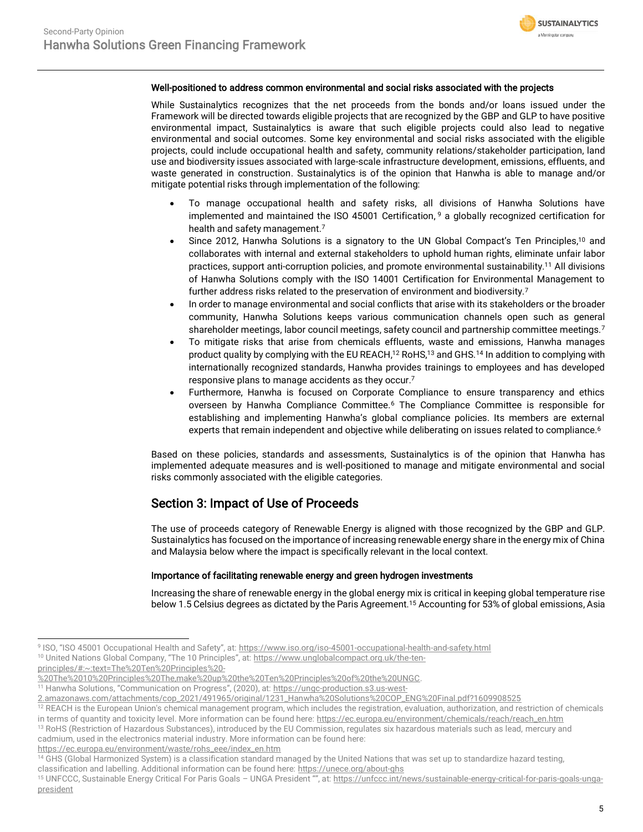

#### Well-positioned to address common environmental and social risks associated with the projects

While Sustainalytics recognizes that the net proceeds from the bonds and/or loans issued under the Framework will be directed towards eligible projects that are recognized by the GBP and GLP to have positive environmental impact, Sustainalytics is aware that such eligible projects could also lead to negative environmental and social outcomes. Some key environmental and social risks associated with the eligible projects, could include occupational health and safety, community relations/stakeholder participation, land use and biodiversity issues associated with large-scale infrastructure development, emissions, effluents, and waste generated in construction. Sustainalytics is of the opinion that Hanwha is able to manage and/or mitigate potential risks through implementation of the following:

- To manage occupational health and safety risks, all divisions of Hanwha Solutions have implemented and maintained the ISO 45001 Certification, <sup>9</sup> a globally recognized certification for health and safety management. [7](#page-3-0)
- Since 2012, Hanwha Solutions is a signatory to the UN Global Compact's Ten Principles,<sup>10</sup> and collaborates with internal and external stakeholders to uphold human rights, eliminate unfair labor practices, support anti-corruption policies, and promote environmental sustainability. <sup>11</sup> All divisions of Hanwha Solutions comply with the ISO 14001 Certification for Environmental Management to further address risks related to the preservation of environment and biodiversity.[7](#page-3-0)
- In order to manage environmental and social conflicts that arise with its stakeholders or the broader community, Hanwha Solutions keeps various communication channels open such as general shareholder meetings, labor council meetings, safety council and partnership committee meeting[s.](#page-3-0)<sup>7</sup>
- To mitigate risks that arise from chemicals effluents, waste and emissions, Hanwha manages product quality by complying with the EU REACH, $^{12}$  RoHS, $^{13}$  and GHS. $^{14}$  In addition to complying with internationally recognized standards, Hanwha provides trainings to employees and has developed responsive plans to manage accidents as they occu[r.](#page-3-0) 7
- Furthermore, Hanwha is focused on Corporate Compliance to ensure transparency and ethics overseen by Hanwha Compliance Committee.[6](#page-3-1) The Compliance Committee is responsible for establishing and implementing Hanwha's global compliance policies. Its members are external experts that remain independent and objective while deliberating on issues related to compliance.<sup>[6](#page-3-1)</sup>

Based on these policies, standards and assessments, Sustainalytics is of the opinion that Hanwha has implemented adequate measures and is well-positioned to manage and mitigate environmental and social risks commonly associated with the eligible categories.

## Section 3: Impact of Use of Proceeds

The use of proceeds category of Renewable Energy is aligned with those recognized by the GBP and GLP. Sustainalytics has focused on the importance of increasing renewable energy share in the energy mix of China and Malaysia below where the impact is specifically relevant in the local context.

#### Importance of facilitating renewable energy and green hydrogen investments

Increasing the share of renewable energy in the global energy mix is critical in keeping global temperature rise below 1.5 Celsius degrees as dictated by the Paris Agreement.<sup>15</sup> Accounting for 53% of global emissions, Asia

[principles/#:~:text=The%20Ten%20Principles%20-](https://www.unglobalcompact.org.uk/the-ten-principles/#:~:text=The%20Ten%20Principles%20-%20The%2010%20Principles%20The,make%20up%20the%20Ten%20Principles%20of%20the%20UNGC)

<sup>&</sup>lt;sup>9</sup> ISO, "ISO 45001 Occupational Health and Safety", at: <u><https://www.iso.org/iso-45001-occupational-health-and-safety.html></u>

<sup>&</sup>lt;sup>10</sup> United Nations Global Company, "The 10 Principles", at: [https://www.unglobalcompact.org.uk/the-ten-](https://www.unglobalcompact.org.uk/the-ten-principles/#:~:text=The%20Ten%20Principles%20-%20The%2010%20Principles%20The,make%20up%20the%20Ten%20Principles%20of%20the%20UNGC)

[<sup>%20</sup>The%2010%20Principles%20The,make%20up%20the%20Ten%20Principles%20of%20the%20UNGC.](https://www.unglobalcompact.org.uk/the-ten-principles/#:~:text=The%20Ten%20Principles%20-%20The%2010%20Principles%20The,make%20up%20the%20Ten%20Principles%20of%20the%20UNGC)

<sup>11</sup> Hanwha Solutions, "Communication on Progress", (2020), at: [https://ungc-production.s3.us-west-](https://ungc-production.s3.us-west-2.amazonaws.com/attachments/cop_2021/491965/original/1231_Hanwha%20Solutions%20COP_ENG%20Final.pdf?1609908525)

[<sup>2.</sup>amazonaws.com/attachments/cop\\_2021/491965/original/1231\\_Hanwha%20Solutions%20COP\\_ENG%20Final.pdf?1609908525](https://ungc-production.s3.us-west-2.amazonaws.com/attachments/cop_2021/491965/original/1231_Hanwha%20Solutions%20COP_ENG%20Final.pdf?1609908525)

<sup>&</sup>lt;sup>12</sup> REACH is the European Union's chemical management program, which includes the registration, evaluation, authorization, and restriction of chemicals in terms of quantity and toxicity level. More information can be found here[: https://ec.europa.eu/environment/chemicals/reach/reach\\_en.htm](https://ec.europa.eu/environment/chemicals/reach/reach_en.htm)

<sup>13</sup> RoHS (Restriction of Hazardous Substances), introduced by the EU Commission, regulates six hazardous materials such as lead, mercury and cadmium, used in the electronics material industry. More information can be found here:

[https://ec.europa.eu/environment/waste/rohs\\_eee/index\\_en.htm](https://ec.europa.eu/environment/waste/rohs_eee/index_en.htm)

<sup>14</sup> GHS (Global Harmonized System) is a classification standard managed by the United Nations that was set up to standardize hazard testing, classification and labelling. Additional information can be found here[: https://unece.org/about-ghs](https://unece.org/about-ghs) 

<sup>15</sup> UNFCCC, Sustainable Energy Critical For Paris Goals - UNGA President "", at: [https://unfccc.int/news/sustainable-energy-critical-for-paris-goals-unga](https://unfccc.int/news/sustainable-energy-critical-for-paris-goals-unga-president)[president](https://unfccc.int/news/sustainable-energy-critical-for-paris-goals-unga-president)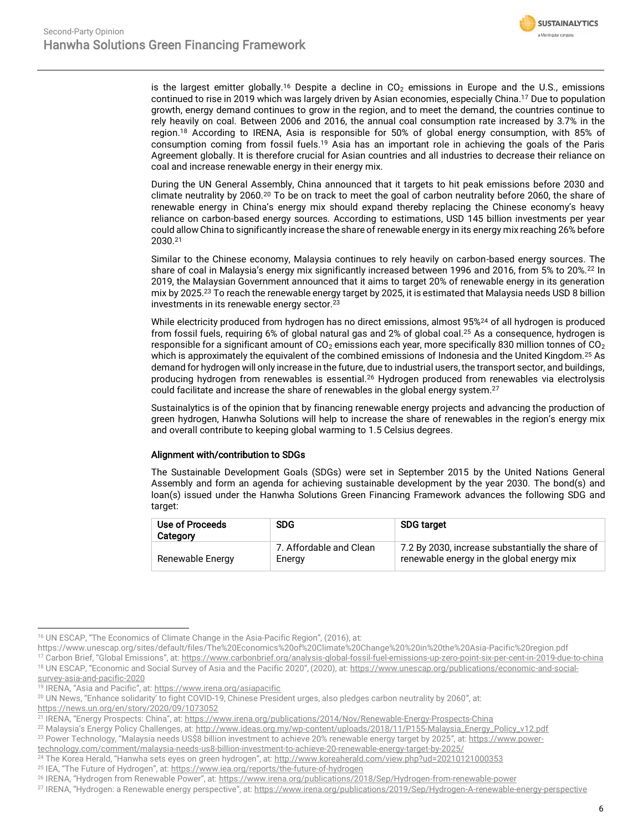

is the largest emitter globally.<sup>16</sup> Despite a decline in  $CO<sub>2</sub>$  emissions in Europe and the U.S., emissions continued to rise in 2019 which was largely driven by Asian economies, especially China.<sup>17</sup> Due to population growth, energy demand continues to grow in the region, and to meet the demand, the countries continue to rely heavily on coal. Between 2006 and 2016, the annual coal consumption rate increased by 3.7% in the region.<sup>18</sup> According to IRENA, Asia is responsible for 50% of global energy consumption, with 85% of consumption coming from fossil fuels.<sup>19</sup> Asia has an important role in achieving the goals of the Paris Agreement globally. It is therefore crucial for Asian countries and all industries to decrease their reliance on coal and increase renewable energy in their energy mix.

During the UN General Assembly, China announced that it targets to hit peak emissions before 2030 and climate neutrality by 2060.<sup>20</sup> To be on track to meet the goal of carbon neutrality before 2060, the share of renewable energy in China's energy mix should expand thereby replacing the Chinese economy's heavy reliance on carbon-based energy sources. According to estimations, USD 145 billion investments per year could allow China to significantly increase the share of renewable energy in its energy mix reaching 26% before 2030.<sup>21</sup>

Similar to the Chinese economy, Malaysia continues to rely heavily on carbon-based energy sources. The share of coal in Malaysia's energy mix significantly increased between 1996 and 2016, from 5% to 20%.<sup>22</sup> In 2019, the Malaysian Government announced that it aims to target 20% of renewable energy in its generation mix by 2025.<sup>23</sup> To reach the renewable energy target by 2025, it is estimated that Malaysia needs USD 8 billion investments in its renewable energy sector.[23](#page-5-0)

<span id="page-5-1"></span><span id="page-5-0"></span>While electricity produced from hydrogen has no direct emissions, almost 95%<sup>24</sup> of all hydrogen is produced from fossil fuels, requiring 6% of global natural gas and 2% of global coal.<sup>25</sup> As a consequence, hydrogen is responsible for a significant amount of  $CO<sub>2</sub>$  emissions each year, more specifically 830 million tonnes of  $CO<sub>2</sub>$ which is approximately the equivalent of the combined emissions of Indonesia and the United Kingdom.<sup>[25](#page-5-1)</sup> As demand for hydrogen will only increase in the future, due to industrial users, the transport sector, and buildings, producing hydrogen from renewables is essential.<sup>26</sup> Hydrogen produced from renewables via electrolysis could facilitate and increase the share of renewables in the global energy system.<sup>27</sup>

Sustainalytics is of the opinion that by financing renewable energy projects and advancing the production of green hydrogen, Hanwha Solutions will help to increase the share of renewables in the region's energy mix and overall contribute to keeping global warming to 1.5 Celsius degrees.

#### Alignment with/contribution to SDGs

The Sustainable Development Goals (SDGs) were set in September 2015 by the United Nations General Assembly and form an agenda for achieving sustainable development by the year 2030. The bond(s) and loan(s) issued under the Hanwha Solutions Green Financing Framework advances the following SDG and target:

| Use of Proceeds<br>Category | <b>SDG</b>                        | <b>SDG target</b>                                                                             |
|-----------------------------|-----------------------------------|-----------------------------------------------------------------------------------------------|
| Renewable Energy            | 7. Affordable and Clean<br>Energy | 7.2 By 2030, increase substantially the share of<br>renewable energy in the global energy mix |

<sup>16</sup> UN ESCAP, "The Economics of Climate Change in the Asia-Pacific Region", (2016), at:

https://www.unescap.org/sites/default/files/The%20Economics%20of%20Climate%20Change%20%20in%20the%20Asia-Pacific%20region.pdf

<sup>&</sup>lt;sup>17</sup> Carbon Brief, "Global Emissions", at: <https://www.carbonbrief.org/analysis-global-fossil-fuel-emissions-up-zero-point-six-per-cent-in-2019-due-to-china> <sup>18</sup> UN ESCAP, "Economic and Social Survey of Asia and the Pacific 2020", (2020), at: [https://www.unescap.org/publications/economic-and-social-](https://www.unescap.org/publications/economic-and-social-survey-asia-and-pacific-2020)

[survey-asia-and-pacific-2020](https://www.unescap.org/publications/economic-and-social-survey-asia-and-pacific-2020)

<sup>19</sup> IRENA, "Asia and Pacific", at:<https://www.irena.org/asiapacific>

<sup>&</sup>lt;sup>20</sup> UN News, "Enhance solidarity' to fight COVID-19, Chinese President urges, also pledges carbon neutrality by 2060", at:

<https://news.un.org/en/story/2020/09/1073052>

<sup>21</sup> IRENA, "Energy Prospects: China", at[: https://www.irena.org/publications/2014/Nov/Renewable-Energy-Prospects-China](https://www.irena.org/publications/2014/Nov/Renewable-Energy-Prospects-China)

<sup>&</sup>lt;sup>22</sup> Malaysia's Energy Policy Challenges, at: [http://www.ideas.org.my/wp-content/uploads/2018/11/P155-Malaysia\\_Energy\\_Policy\\_v12.pdf](http://www.ideas.org.my/wp-content/uploads/2018/11/P155-Malaysia_Energy_Policy_v12.pdf)

<sup>&</sup>lt;sup>23</sup> Power Technology, "Malaysia needs US\$8 billion investment to achieve 20% renewable energy target by 2025", at: [https://www.power-](https://www.power-technology.com/comment/malaysia-needs-us8-billion-investment-to-achieve-20-renewable-energy-target-by-2025/)

[technology.com/comment/malaysia-needs-us8-billion-investment-to-achieve-20-renewable-energy-target-by-2025/](https://www.power-technology.com/comment/malaysia-needs-us8-billion-investment-to-achieve-20-renewable-energy-target-by-2025/) 24 The Korea Herald, "Hanwha sets eyes on green hydrogen", at: <http://www.koreaherald.com/view.php?ud=20210121000353>

<sup>&</sup>lt;sup>25</sup> IEA, "The Future of Hydrogen", at: <https://www.iea.org/reports/the-future-of-hydrogen>

<sup>26</sup> IRENA, "Hydrogen from Renewable Power", at: <https://www.irena.org/publications/2018/Sep/Hydrogen-from-renewable-power>

<sup>&</sup>lt;sup>27</sup> IRENA, "Hydrogen: a Renewable energy perspective", at: <https://www.irena.org/publications/2019/Sep/Hydrogen-A-renewable-energy-perspective>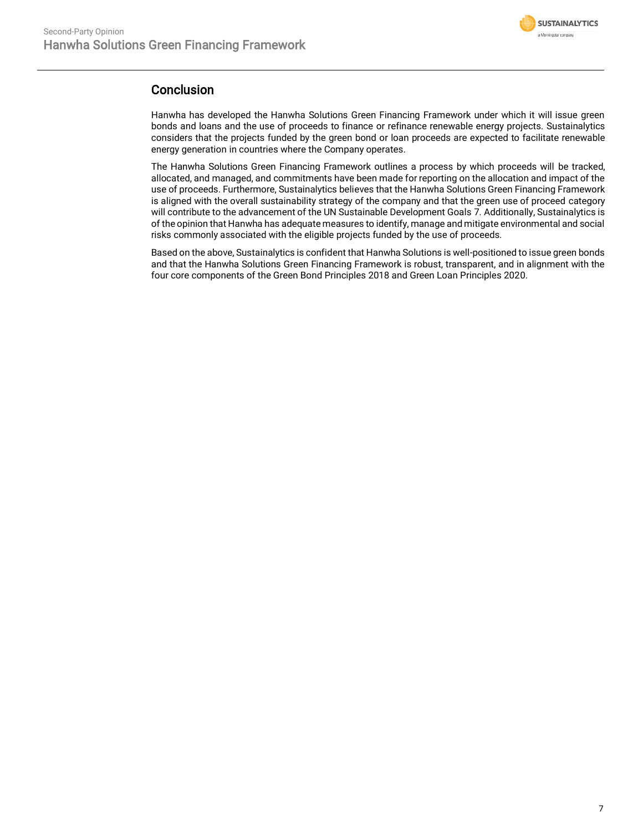

## **Conclusion**

Hanwha has developed the Hanwha Solutions Green Financing Framework under which it will issue green bonds and loans and the use of proceeds to finance or refinance renewable energy projects. Sustainalytics considers that the projects funded by the green bond or loan proceeds are expected to facilitate renewable energy generation in countries where the Company operates.

The Hanwha Solutions Green Financing Framework outlines a process by which proceeds will be tracked, allocated, and managed, and commitments have been made for reporting on the allocation and impact of the use of proceeds. Furthermore, Sustainalytics believes that the Hanwha Solutions Green Financing Framework is aligned with the overall sustainability strategy of the company and that the green use of proceed category will contribute to the advancement of the UN Sustainable Development Goals 7. Additionally, Sustainalytics is of the opinion that Hanwha has adequate measures to identify, manage and mitigate environmental and social risks commonly associated with the eligible projects funded by the use of proceeds.

Based on the above, Sustainalytics is confident that Hanwha Solutions is well-positioned to issue green bonds and that the Hanwha Solutions Green Financing Framework is robust, transparent, and in alignment with the four core components of the Green Bond Principles 2018 and Green Loan Principles 2020.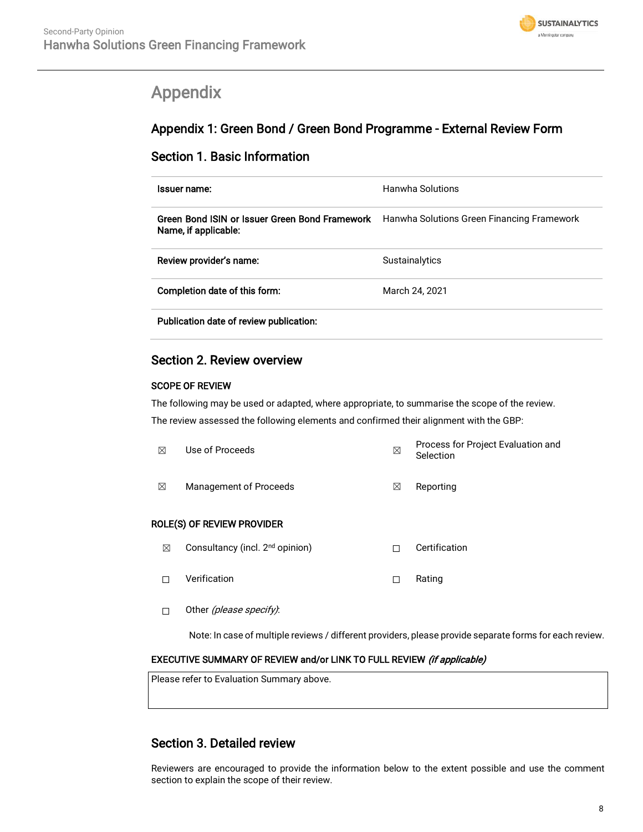

# <span id="page-7-0"></span>Appendix

# Appendix 1: Green Bond / Green Bond Programme - External Review Form

## Section 1. Basic Information

| Issuer name:                                                           | <b>Hanwha Solutions</b>                    |
|------------------------------------------------------------------------|--------------------------------------------|
| Green Bond ISIN or Issuer Green Bond Framework<br>Name, if applicable: | Hanwha Solutions Green Financing Framework |
| Review provider's name:                                                | <b>Sustainalytics</b>                      |
| Completion date of this form:                                          | March 24, 2021                             |

## Section 2. Review overview

#### SCOPE OF REVIEW

The following may be used or adapted, where appropriate, to summarise the scope of the review.

The review assessed the following elements and confirmed their alignment with the GBP:

| ⊠ | Use of Proceeds                             | ⊠ | Process for Project Evaluation and<br>Selection |
|---|---------------------------------------------|---|-------------------------------------------------|
| ⊠ | <b>Management of Proceeds</b>               | ⊠ | Reporting                                       |
|   | ROLE(S) OF REVIEW PROVIDER                  |   |                                                 |
| ⊠ | Consultancy (incl. 2 <sup>nd</sup> opinion) | П | Certification                                   |
|   | Verification                                | П | Rating                                          |

□ Other (please specify):

Note: In case of multiple reviews / different providers, please provide separate forms for each review.

### EXECUTIVE SUMMARY OF REVIEW and/or LINK TO FULL REVIEW (if applicable)

Please refer to Evaluation Summary above.

# Section 3. Detailed review

Reviewers are encouraged to provide the information below to the extent possible and use the comment section to explain the scope of their review.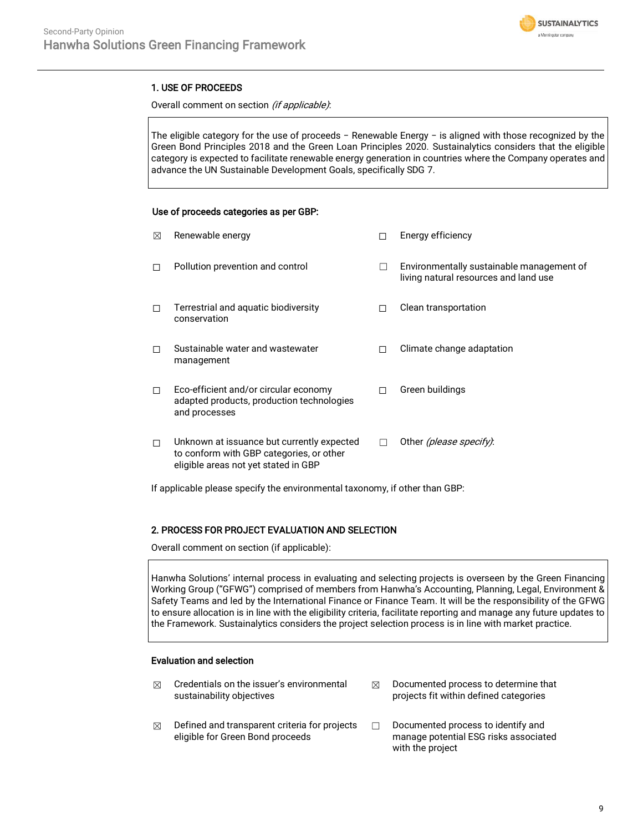

#### 1. USE OF PROCEEDS

Overall comment on section (if applicable):

The eligible category for the use of proceeds − Renewable Energy − is aligned with those recognized by the Green Bond Principles 2018 and the Green Loan Principles 2020. Sustainalytics considers that the eligible category is expected to facilitate renewable energy generation in countries where the Company operates and advance the UN Sustainable Development Goals, specifically SDG 7.

#### Use of proceeds categories as per GBP:

| ⊠      | Renewable energy                                                                                                               |              | Energy efficiency                                                                  |
|--------|--------------------------------------------------------------------------------------------------------------------------------|--------------|------------------------------------------------------------------------------------|
| п      | Pollution prevention and control                                                                                               | $\mathbf{I}$ | Environmentally sustainable management of<br>living natural resources and land use |
| $\Box$ | Terrestrial and aquatic biodiversity<br>conservation                                                                           |              | Clean transportation                                                               |
| п      | Sustainable water and wastewater<br>management                                                                                 | П            | Climate change adaptation                                                          |
| $\Box$ | Eco-efficient and/or circular economy<br>adapted products, production technologies<br>and processes                            | П            | Green buildings                                                                    |
| п      | Unknown at issuance but currently expected<br>to conform with GBP categories, or other<br>eligible areas not yet stated in GBP |              | Other (please specify):                                                            |

If applicable please specify the environmental taxonomy, if other than GBP:

#### 2. PROCESS FOR PROJECT EVALUATION AND SELECTION

Overall comment on section (if applicable):

Hanwha Solutions' internal process in evaluating and selecting projects is overseen by the Green Financing Working Group ("GFWG") comprised of members from Hanwha's Accounting, Planning, Legal, Environment & Safety Teams and led by the International Finance or Finance Team. It will be the responsibility of the GFWG to ensure allocation is in line with the eligibility criteria, facilitate reporting and manage any future updates to the Framework. Sustainalytics considers the project selection process is in line with market practice.

#### Evaluation and selection

- $\boxtimes$  Credentials on the issuer's environmental sustainability objectives
	- $\boxtimes$  Documented process to determine that projects fit within defined categories
- $\boxtimes$  Defined and transparent criteria for projects eligible for Green Bond proceeds
- ☐ Documented process to identify and manage potential ESG risks associated with the project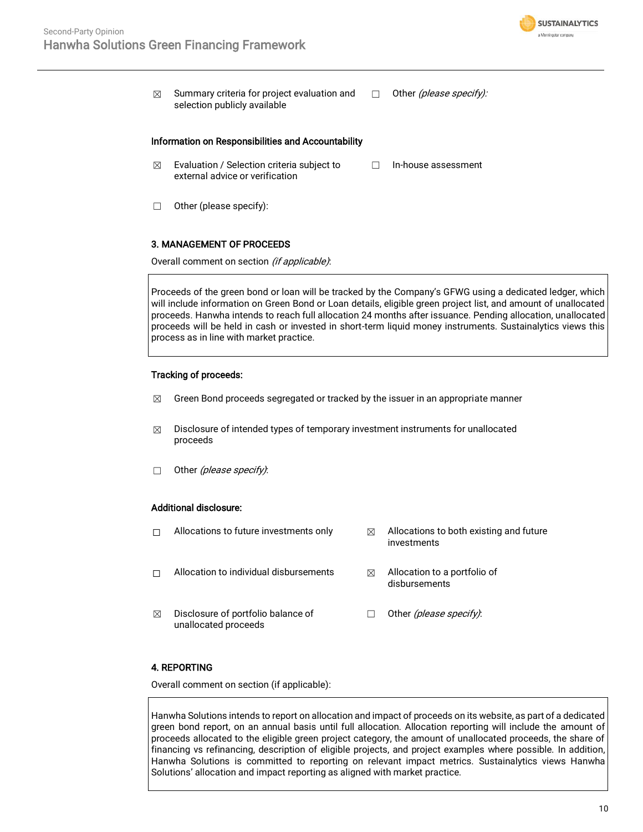

 $\boxtimes$  Summary criteria for project evaluation and selection publicly available □ Other *(please specify)*:

#### Information on Responsibilities and Accountability

- $\boxtimes$  Evaluation / Selection criteria subject to external advice or verification ☐ In-house assessment
- ☐ Other (please specify):

#### 3. MANAGEMENT OF PROCEEDS

Overall comment on section (if applicable):

Proceeds of the green bond or loan will be tracked by the Company's GFWG using a dedicated ledger, which will include information on Green Bond or Loan details, eligible green project list, and amount of unallocated proceeds. Hanwha intends to reach full allocation 24 months after issuance. Pending allocation, unallocated proceeds will be held in cash or invested in short-term liquid money instruments. Sustainalytics views this process as in line with market practice.

#### Tracking of proceeds:

- $\boxtimes$  Green Bond proceeds segregated or tracked by the issuer in an appropriate manner
- $\boxtimes$  Disclosure of intended types of temporary investment instruments for unallocated proceeds
- $\Box$  Other (please specify):

#### Additional disclosure:

- 
- □ Allocation to individual disbursements <sub>△</sub> Allocation to a portfolio of
- $\boxtimes$  Disclosure of portfolio balance of unallocated proceeds
- $\Box$  Allocations to future investments only  $\boxtimes$  Allocations to both existing and future investments
	- disbursements
	- □ Other *(please specify)*:

#### 4. REPORTING

Overall comment on section (if applicable):

Hanwha Solutions intends to report on allocation and impact of proceeds on its website, as part of a dedicated green bond report, on an annual basis until full allocation. Allocation reporting will include the amount of proceeds allocated to the eligible green project category, the amount of unallocated proceeds, the share of financing vs refinancing, description of eligible projects, and project examples where possible. In addition, Hanwha Solutions is committed to reporting on relevant impact metrics. Sustainalytics views Hanwha Solutions' allocation and impact reporting as aligned with market practice.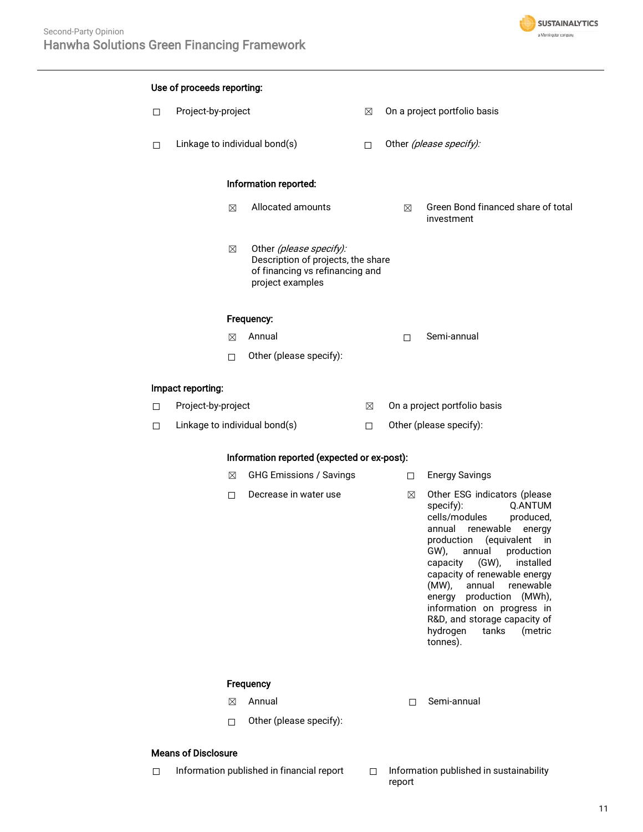

|        | Use of proceeds reporting:                  |                                                                                                                      |        |        |                                                                                                                                                                                                                                                                                                                                                                                                                              |
|--------|---------------------------------------------|----------------------------------------------------------------------------------------------------------------------|--------|--------|------------------------------------------------------------------------------------------------------------------------------------------------------------------------------------------------------------------------------------------------------------------------------------------------------------------------------------------------------------------------------------------------------------------------------|
| $\Box$ | Project-by-project                          |                                                                                                                      | ⊠      |        | On a project portfolio basis                                                                                                                                                                                                                                                                                                                                                                                                 |
| □      |                                             | Linkage to individual bond(s)                                                                                        | $\Box$ |        | Other (please specify):                                                                                                                                                                                                                                                                                                                                                                                                      |
|        |                                             | Information reported:                                                                                                |        |        |                                                                                                                                                                                                                                                                                                                                                                                                                              |
|        | $\boxtimes$                                 | Allocated amounts                                                                                                    |        | ⊠      | Green Bond financed share of total<br>investment                                                                                                                                                                                                                                                                                                                                                                             |
|        | $\boxtimes$                                 | Other (please specify):<br>Description of projects, the share<br>of financing vs refinancing and<br>project examples |        |        |                                                                                                                                                                                                                                                                                                                                                                                                                              |
|        |                                             | Frequency:                                                                                                           |        |        |                                                                                                                                                                                                                                                                                                                                                                                                                              |
|        | ⊠                                           | Annual                                                                                                               |        | П      | Semi-annual                                                                                                                                                                                                                                                                                                                                                                                                                  |
|        | $\Box$                                      | Other (please specify):                                                                                              |        |        |                                                                                                                                                                                                                                                                                                                                                                                                                              |
|        | Impact reporting:                           |                                                                                                                      |        |        |                                                                                                                                                                                                                                                                                                                                                                                                                              |
| $\Box$ | Project-by-project                          |                                                                                                                      | ⊠      |        | On a project portfolio basis                                                                                                                                                                                                                                                                                                                                                                                                 |
| $\Box$ |                                             | Linkage to individual bond(s)                                                                                        | $\Box$ |        | Other (please specify):                                                                                                                                                                                                                                                                                                                                                                                                      |
|        | Information reported (expected or ex-post): |                                                                                                                      |        |        |                                                                                                                                                                                                                                                                                                                                                                                                                              |
|        | $\boxtimes$                                 | <b>GHG Emissions / Savings</b>                                                                                       |        | $\Box$ | <b>Energy Savings</b>                                                                                                                                                                                                                                                                                                                                                                                                        |
|        | □                                           | Decrease in water use                                                                                                |        | ⊠      | Other ESG indicators (please<br>specify):<br><b>O.ANTUM</b><br>cells/modules<br>produced,<br>annual renewable<br>energy<br>production (equivalent in<br>GW), annual<br>production<br>$(GW)$ ,<br>capacity<br>installed<br>capacity of renewable energy<br>(MW),<br>annual<br>renewable<br>energy production (MWh),<br>information on progress in<br>R&D, and storage capacity of<br>hydrogen<br>tanks<br>(metric<br>tonnes). |
|        |                                             | Frequency                                                                                                            |        |        |                                                                                                                                                                                                                                                                                                                                                                                                                              |
|        | ⊠                                           | Annual                                                                                                               |        | П      | Semi-annual                                                                                                                                                                                                                                                                                                                                                                                                                  |
|        | $\Box$                                      | Other (please specify):                                                                                              |        |        |                                                                                                                                                                                                                                                                                                                                                                                                                              |
|        | <b>Means of Disclosure</b>                  |                                                                                                                      |        |        |                                                                                                                                                                                                                                                                                                                                                                                                                              |

- ☐ Information published in financial report ☐ Information published in sustainability
	- report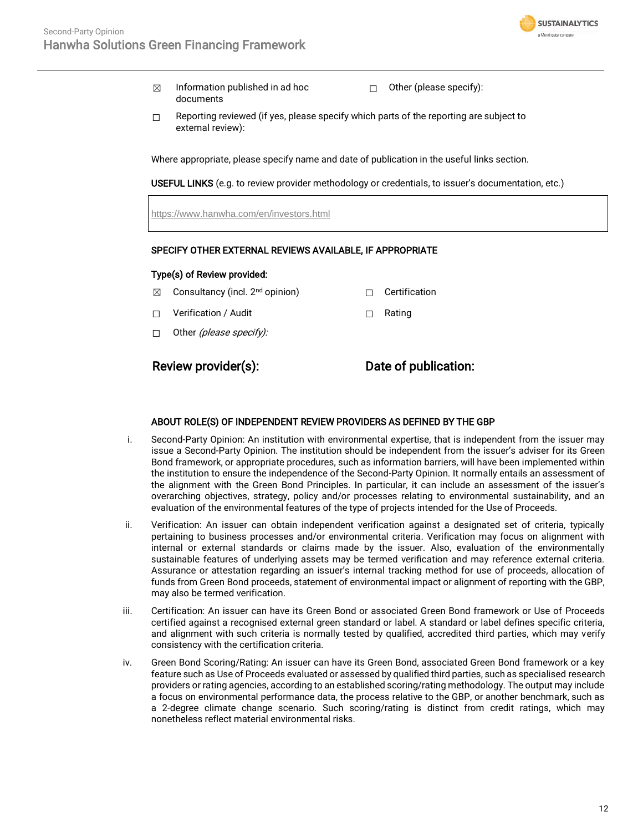

- $\boxtimes$  Information published in ad hoc documents
- ☐ Other (please specify):
- $\Box$  Reporting reviewed (if yes, please specify which parts of the reporting are subject to external review):

Where appropriate, please specify name and date of publication in the useful links section.

USEFUL LINKS (e.g. to review provider methodology or credentials, to issuer's documentation, etc.)

<https://www.hanwha.com/en/investors.html>

#### SPECIFY OTHER EXTERNAL REVIEWS AVAILABLE, IF APPROPRIATE

#### Type(s) of Review provided:

- $\boxtimes$  Consultancy (incl. 2<sup>nd</sup> opinion)  $\Box$  Certification
- ☐ Verification / Audit ☐ Rating
- $\Box$  Other *(please specify):*

Review provider(s): Date of publication:

#### ABOUT ROLE(S) OF INDEPENDENT REVIEW PROVIDERS AS DEFINED BY THE GBP

- i. Second-Party Opinion: An institution with environmental expertise, that is independent from the issuer may issue a Second-Party Opinion. The institution should be independent from the issuer's adviser for its Green Bond framework, or appropriate procedures, such as information barriers, will have been implemented within the institution to ensure the independence of the Second-Party Opinion. It normally entails an assessment of the alignment with the Green Bond Principles. In particular, it can include an assessment of the issuer's overarching objectives, strategy, policy and/or processes relating to environmental sustainability, and an evaluation of the environmental features of the type of projects intended for the Use of Proceeds.
- ii. Verification: An issuer can obtain independent verification against a designated set of criteria, typically pertaining to business processes and/or environmental criteria. Verification may focus on alignment with internal or external standards or claims made by the issuer. Also, evaluation of the environmentally sustainable features of underlying assets may be termed verification and may reference external criteria. Assurance or attestation regarding an issuer's internal tracking method for use of proceeds, allocation of funds from Green Bond proceeds, statement of environmental impact or alignment of reporting with the GBP, may also be termed verification.
- iii. Certification: An issuer can have its Green Bond or associated Green Bond framework or Use of Proceeds certified against a recognised external green standard or label. A standard or label defines specific criteria, and alignment with such criteria is normally tested by qualified, accredited third parties, which may verify consistency with the certification criteria.
- iv. Green Bond Scoring/Rating: An issuer can have its Green Bond, associated Green Bond framework or a key feature such as Use of Proceeds evaluated or assessed by qualified third parties, such as specialised research providers or rating agencies, according to an established scoring/rating methodology. The output may include a focus on environmental performance data, the process relative to the GBP, or another benchmark, such as a 2-degree climate change scenario. Such scoring/rating is distinct from credit ratings, which may nonetheless reflect material environmental risks.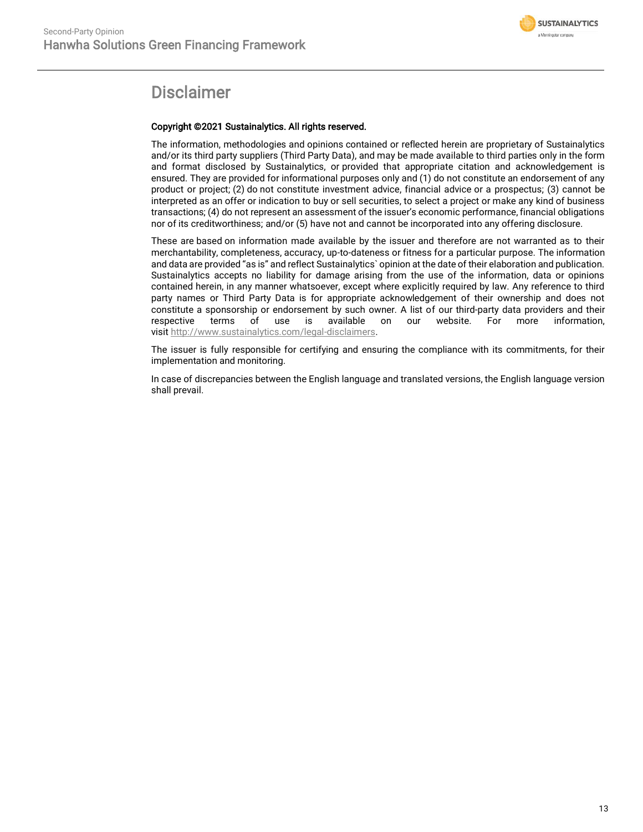

# **Disclaimer**

#### Copyright ©2021 Sustainalytics. All rights reserved.

The information, methodologies and opinions contained or reflected herein are proprietary of Sustainalytics and/or its third party suppliers (Third Party Data), and may be made available to third parties only in the form and format disclosed by Sustainalytics, or provided that appropriate citation and acknowledgement is ensured. They are provided for informational purposes only and (1) do not constitute an endorsement of any product or project; (2) do not constitute investment advice, financial advice or a prospectus; (3) cannot be interpreted as an offer or indication to buy or sell securities, to select a project or make any kind of business transactions; (4) do not represent an assessment of the issuer's economic performance, financial obligations nor of its creditworthiness; and/or (5) have not and cannot be incorporated into any offering disclosure.

These are based on information made available by the issuer and therefore are not warranted as to their merchantability, completeness, accuracy, up-to-dateness or fitness for a particular purpose. The information and data are provided "as is" and reflect Sustainalytics` opinion at the date of their elaboration and publication. Sustainalytics accepts no liability for damage arising from the use of the information, data or opinions contained herein, in any manner whatsoever, except where explicitly required by law. Any reference to third party names or Third Party Data is for appropriate acknowledgement of their ownership and does not constitute a sponsorship or endorsement by such owner. A list of our third-party data providers and their respective terms of use is available on our website. For more information, visit [http://www.sustainalytics.com/legal-disclaimers.](http://www.sustainalytics.com/legal-disclaimers)

The issuer is fully responsible for certifying and ensuring the compliance with its commitments, for their implementation and monitoring.

In case of discrepancies between the English language and translated versions, the English language version shall prevail.